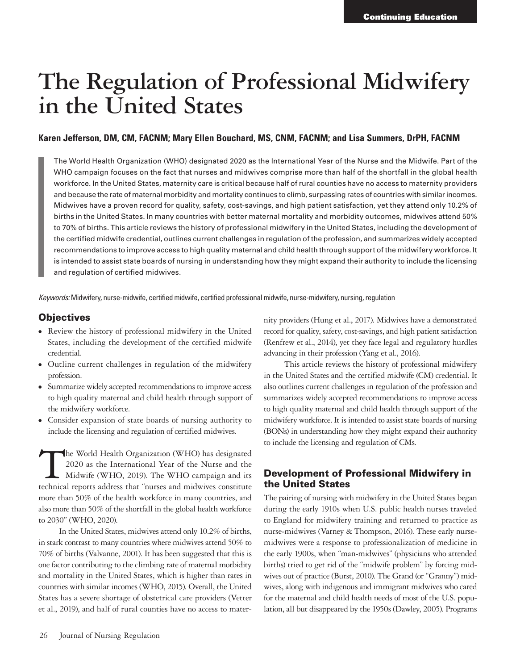# **The Regulation of Professional Midwifery in the United States**

#### **Karen Jefferson, DM, CM, FACNM; Mary Ellen Bouchard, MS, CNM, FACNM; and Lisa Summers, DrPH, FACNM**

The World Health Organization (WHO) designated 2020 as the International Year of the Nurse and the Midwife. Part of the WHO campaign focuses on the fact that nurses and midwives comprise more than half of the shortfall in the global health workforce. In the United States, maternity care is critical because half of rural counties have no access to maternity providers and because the rate of maternal morbidity and mortality continues to climb, surpassing rates of countries with similar incomes. Midwives have a proven record for quality, safety, cost-savings, and high patient satisfaction, yet they attend only 10.2% of births in the United States. In many countries with better maternal mortality and morbidity outcomes, midwives attend 50% to 70% of births. This article reviews the history of professional midwifery in the United States, including the development of the certified midwife credential, outlines current challenges in regulation of the profession, and summarizes widely accepted recommendations to improve access to high quality maternal and child health through support of the midwifery workforce. It is intended to assist state boards of nursing in understanding how they might expand their authority to include the licensing and regulation of certified midwives.

*Keywords:* Midwifery, nurse-midwife, certified midwife, certified professional midwife, nurse-midwifery, nursing, regulation

#### **Objectives**

- <sup>⦁</sup> Review the history of professional midwifery in the United States, including the development of the certified midwife credential.
- <sup>⦁</sup> Outline current challenges in regulation of the midwifery profession.
- <sup>⦁</sup> Summarize widely accepted recommendations to improve access to high quality maternal and child health through support of the midwifery workforce.
- <sup>⦁</sup> Consider expansion of state boards of nursing authority to include the licensing and regulation of certified midwives.

The World Health Organization (WHO) has designated 2020 as the International Year of the Nurse and the Midwife (WHO, 2019). The WHO campaign and its technical reports address that "nurses and midwives constitute more than 50% of the health workforce in many countries, and also more than 50% of the shortfall in the global health workforce to 2030" (WHO, 2020).

In the United States, midwives attend only 10.2% of births, in stark contrast to many countries where midwives attend 50% to 70% of births (Valvanne, 2001). It has been suggested that this is one factor contributing to the climbing rate of maternal morbidity and mortality in the United States, which is higher than rates in countries with similar incomes (WHO, 2015). Overall, the United States has a severe shortage of obstetrical care providers (Vetter et al., 2019), and half of rural counties have no access to maternity providers (Hung et al., 2017). Midwives have a demonstrated record for quality, safety, cost-savings, and high patient satisfaction (Renfrew et al., 2014), yet they face legal and regulatory hurdles advancing in their profession (Yang et al., 2016).

This article reviews the history of professional midwifery in the United States and the certified midwife (CM) credential. It also outlines current challenges in regulation of the profession and summarizes widely accepted recommendations to improve access to high quality maternal and child health through support of the midwifery workforce. It is intended to assist state boards of nursing (BONs) in understanding how they might expand their authority to include the licensing and regulation of CMs.

#### Development of Professional Midwifery in the United States

The pairing of nursing with midwifery in the United States began during the early 1910s when U.S. public health nurses traveled to England for midwifery training and returned to practice as nurse-midwives (Varney & Thompson, 2016). These early nursemidwives were a response to professionalization of medicine in the early 1900s, when "man-midwives" (physicians who attended births) tried to get rid of the "midwife problem" by forcing midwives out of practice (Burst, 2010). The Grand (or "Granny") midwives, along with indigenous and immigrant midwives who cared for the maternal and child health needs of most of the U.S. population, all but disappeared by the 1950s (Dawley, 2005). Programs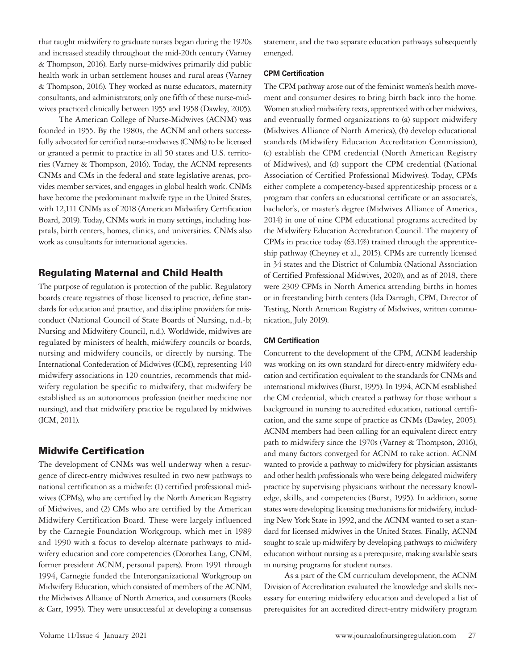that taught midwifery to graduate nurses began during the 1920s and increased steadily throughout the mid-20th century (Varney & Thompson, 2016). Early nurse-midwives primarily did public health work in urban settlement houses and rural areas (Varney & Thompson, 2016). They worked as nurse educators, maternity consultants, and administrators; only one fifth of these nurse-midwives practiced clinically between 1955 and 1958 (Dawley, 2005).

The American College of Nurse-Midwives (ACNM) was founded in 1955. By the 1980s, the ACNM and others successfully advocated for certified nurse-midwives (CNMs) to be licensed or granted a permit to practice in all 50 states and U.S. territories (Varney & Thompson, 2016). Today, the ACNM represents CNMs and CMs in the federal and state legislative arenas, provides member services, and engages in global health work. CNMs have become the predominant midwife type in the United States, with 12,111 CNMs as of 2018 (American Midwifery Certification Board, 2019). Today, CNMs work in many settings, including hospitals, birth centers, homes, clinics, and universities. CNMs also work as consultants for international agencies.

#### Regulating Maternal and Child Health

The purpose of regulation is protection of the public. Regulatory boards create registries of those licensed to practice, define standards for education and practice, and discipline providers for misconduct (National Council of State Boards of Nursing, n.d.-b; Nursing and Midwifery Council, n.d.). Worldwide, midwives are regulated by ministers of health, midwifery councils or boards, nursing and midwifery councils, or directly by nursing. The International Confederation of Midwives (ICM), representing 140 midwifery associations in 120 countries, recommends that midwifery regulation be specific to midwifery, that midwifery be established as an autonomous profession (neither medicine nor nursing), and that midwifery practice be regulated by midwives (ICM, 2011).

#### Midwife Certification

The development of CNMs was well underway when a resurgence of direct-entry midwives resulted in two new pathways to national certification as a midwife: (1) certified professional midwives (CPMs), who are certified by the North American Registry of Midwives, and (2) CMs who are certified by the American Midwifery Certification Board. These were largely influenced by the Carnegie Foundation Workgroup, which met in 1989 and 1990 with a focus to develop alternate pathways to midwifery education and core competencies (Dorothea Lang, CNM, former president ACNM, personal papers). From 1991 through 1994, Carnegie funded the Interorganizational Workgroup on Midwifery Education, which consisted of members of the ACNM, the Midwives Alliance of North America, and consumers (Rooks & Carr, 1995). They were unsuccessful at developing a consensus statement, and the two separate education pathways subsequently emerged.

#### **CPM Certification**

The CPM pathway arose out of the feminist women's health movement and consumer desires to bring birth back into the home. Women studied midwifery texts, apprenticed with other midwives, and eventually formed organizations to (a) support midwifery (Midwives Alliance of North America), (b) develop educational standards (Midwifery Education Accreditation Commission), (c) establish the CPM credential (North American Registry of Midwives), and (d) support the CPM credential (National Association of Certified Professional Midwives). Today, CPMs either complete a competency-based apprenticeship process or a program that confers an educational certificate or an associate's, bachelor's, or master's degree (Midwives Alliance of America, 2014) in one of nine CPM educational programs accredited by the Midwifery Education Accreditation Council. The majority of CPMs in practice today (63.1%) trained through the apprenticeship pathway (Cheyney et al., 2015). CPMs are currently licensed in 34 states and the District of Columbia (National Association of Certified Professional Midwives, 2020), and as of 2018, there were 2309 CPMs in North America attending births in homes or in freestanding birth centers (Ida Darragh, CPM, Director of Testing, North American Registry of Midwives, written communication, July 2019).

#### **CM Certification**

Concurrent to the development of the CPM, ACNM leadership was working on its own standard for direct-entry midwifery education and certification equivalent to the standards for CNMs and international midwives (Burst, 1995). In 1994, ACNM established the CM credential, which created a pathway for those without a background in nursing to accredited education, national certification, and the same scope of practice as CNMs (Dawley, 2005). ACNM members had been calling for an equivalent direct entry path to midwifery since the 1970s (Varney & Thompson, 2016), and many factors converged for ACNM to take action. ACNM wanted to provide a pathway to midwifery for physician assistants and other health professionals who were being delegated midwifery practice by supervising physicians without the necessary knowledge, skills, and competencies (Burst, 1995). In addition, some states were developing licensing mechanisms for midwifery, including New York State in 1992, and the ACNM wanted to set a standard for licensed midwives in the United States. Finally, ACNM sought to scale up midwifery by developing pathways to midwifery education without nursing as a prerequisite, making available seats in nursing programs for student nurses.

As a part of the CM curriculum development, the ACNM Division of Accreditation evaluated the knowledge and skills necessary for entering midwifery education and developed a list of prerequisites for an accredited direct-entry midwifery program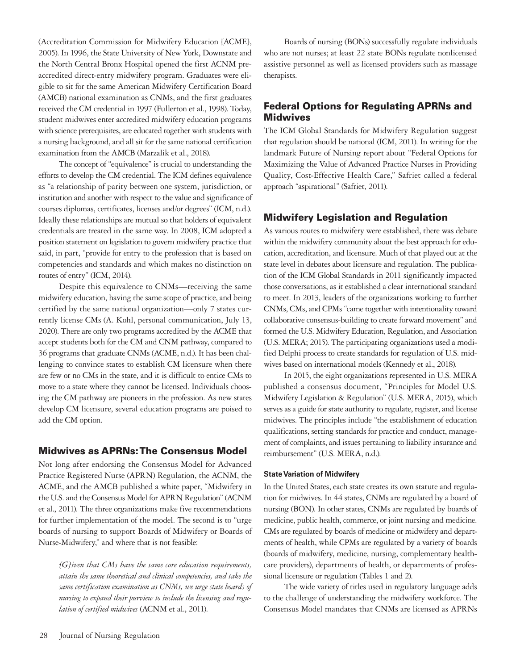(Accreditation Commission for Midwifery Education [ACME], 2005). In 1996, the State University of New York, Downstate and the North Central Bronx Hospital opened the first ACNM preaccredited direct-entry midwifery program. Graduates were eligible to sit for the same American Midwifery Certification Board (AMCB) national examination as CNMs, and the first graduates received the CM credential in 1997 (Fullerton et al., 1998). Today, student midwives enter accredited midwifery education programs with science prerequisites, are educated together with students with a nursing background, and all sit for the same national certification examination from the AMCB (Marzalik et al., 2018).

The concept of "equivalence" is crucial to understanding the efforts to develop the CM credential. The ICM defines equivalence as "a relationship of parity between one system, jurisdiction, or institution and another with respect to the value and significance of courses diplomas, certificates, licenses and/or degrees" (ICM, n.d.). Ideally these relationships are mutual so that holders of equivalent credentials are treated in the same way. In 2008, ICM adopted a position statement on legislation to govern midwifery practice that said, in part, "provide for entry to the profession that is based on competencies and standards and which makes no distinction on routes of entry" (ICM, 2014).

Despite this equivalence to CNMs—receiving the same midwifery education, having the same scope of practice, and being certified by the same national organization—only 7 states currently license CMs (A. Kohl, personal communication, July 13, 2020). There are only two programs accredited by the ACME that accept students both for the CM and CNM pathway, compared to 36 programs that graduate CNMs (ACME, n.d.). It has been challenging to convince states to establish CM licensure when there are few or no CMs in the state, and it is difficult to entice CMs to move to a state where they cannot be licensed. Individuals choosing the CM pathway are pioneers in the profession. As new states develop CM licensure, several education programs are poised to add the CM option.

#### Midwives as APRNs: The Consensus Model

Not long after endorsing the Consensus Model for Advanced Practice Registered Nurse (APRN) Regulation, the ACNM, the ACME, and the AMCB published a white paper, "Midwifery in the U.S. and the Consensus Model for APRN Regulation" (ACNM et al., 2011). The three organizations make five recommendations for further implementation of the model. The second is to "urge boards of nursing to support Boards of Midwifery or Boards of Nurse-Midwifery," and where that is not feasible:

*[G]iven that CMs have the same core education requirements, attain the same theoretical and clinical competencies, and take the same certification examination as CNMs, we urge state boards of nursing to expand their purview to include the licensing and regulation of certified midwives* (ACNM et al., 2011).

Boards of nursing (BONs) successfully regulate individuals who are not nurses; at least 22 state BONs regulate nonlicensed assistive personnel as well as licensed providers such as massage therapists.

## Federal Options for Regulating APRNs and Midwives

The ICM Global Standards for Midwifery Regulation suggest that regulation should be national (ICM, 2011). In writing for the landmark Future of Nursing report about "Federal Options for Maximizing the Value of Advanced Practice Nurses in Providing Quality, Cost-Effective Health Care," Safriet called a federal approach "aspirational" (Safriet, 2011).

## Midwifery Legislation and Regulation

As various routes to midwifery were established, there was debate within the midwifery community about the best approach for education, accreditation, and licensure. Much of that played out at the state level in debates about licensure and regulation. The publication of the ICM Global Standards in 2011 significantly impacted those conversations, as it established a clear international standard to meet. In 2013, leaders of the organizations working to further CNMs, CMs, and CPMs "came together with intentionality toward collaborative consensus-building to create forward movement" and formed the U.S. Midwifery Education, Regulation, and Association (U.S. MERA; 2015). The participating organizations used a modified Delphi process to create standards for regulation of U.S. midwives based on international models (Kennedy et al., 2018).

In 2015, the eight organizations represented in U.S. MERA published a consensus document, "Principles for Model U.S. Midwifery Legislation & Regulation" (U.S. MERA, 2015), which serves as a guide for state authority to regulate, register, and license midwives. The principles include "the establishment of education qualifications, setting standards for practice and conduct, management of complaints, and issues pertaining to liability insurance and reimbursement" (U.S. MERA, n.d.).

#### **State Variation of Midwifery**

In the United States, each state creates its own statute and regulation for midwives. In 44 states, CNMs are regulated by a board of nursing (BON). In other states, CNMs are regulated by boards of medicine, public health, commerce, or joint nursing and medicine. CMs are regulated by boards of medicine or midwifery and departments of health, while CPMs are regulated by a variety of boards (boards of midwifery, medicine, nursing, complementary healthcare providers), departments of health, or departments of professional licensure or regulation (Tables 1 and 2).

The wide variety of titles used in regulatory language adds to the challenge of understanding the midwifery workforce. The Consensus Model mandates that CNMs are licensed as APRNs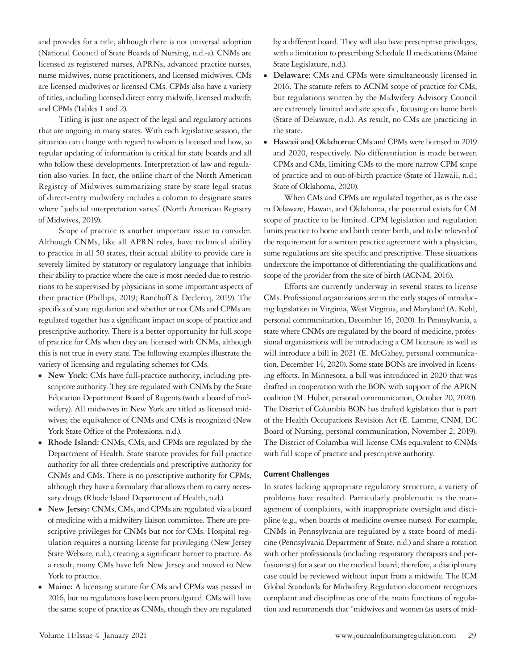and provides for a title, although there is not universal adoption (National Council of State Boards of Nursing, n.d.-a). CNMs are licensed as registered nurses, APRNs, advanced practice nurses, nurse midwives, nurse practitioners, and licensed midwives. CMs are licensed midwives or licensed CMs. CPMs also have a variety of titles, including licensed direct entry midwife, licensed midwife, and CPMs (Tables 1 and 2).

Titling is just one aspect of the legal and regulatory actions that are ongoing in many states. With each legislative session, the situation can change with regard to whom is licensed and how, so regular updating of information is critical for state boards and all who follow these developments. Interpretation of law and regulation also varies. In fact, the online chart of the North American Registry of Midwives summarizing state by state legal status of direct-entry midwifery includes a column to designate states where "judicial interpretation varies" (North American Registry of Midwives, 2019).

Scope of practice is another important issue to consider. Although CNMs, like all APRN roles, have technical ability to practice in all 50 states, their actual ability to provide care is severely limited by statutory or regulatory language that inhibits their ability to practice where the care is most needed due to restrictions to be supervised by physicians in some important aspects of their practice (Phillips, 2019; Ranchoff & Declercq, 2019). The specifics of state regulation and whether or not CMs and CPMs are regulated together has a significant impact on scope of practice and prescriptive authority. There is a better opportunity for full scope of practice for CMs when they are licensed with CNMs, although this is not true in every state. The following examples illustrate the variety of licensing and regulating schemes for CMs.

- <sup>⦁</sup> **New York:** CMs have full-practice authority, including prescriptive authority. They are regulated with CNMs by the State Education Department Board of Regents (with a board of midwifery). All midwives in New York are titled as licensed midwives; the equivalence of CNMs and CMs is recognized (New York State Office of the Professions, n.d.).
- <sup>⦁</sup> **Rhode Island:** CNMs, CMs, and CPMs are regulated by the Department of Health. State statute provides for full practice authority for all three credentials and prescriptive authority for CNMs and CMs. There is no prescriptive authority for CPMs, although they have a formulary that allows them to carry necessary drugs (Rhode Island Department of Health, n.d.).
- <sup>⦁</sup> **New Jersey:** CNMs, CMs, and CPMs are regulated via a board of medicine with a midwifery liaison committee. There are prescriptive privileges for CNMs but not for CMs. Hospital regulation requires a nursing license for privileging (New Jersey State Website, n.d.), creating a significant barrier to practice. As a result, many CMs have left New Jersey and moved to New York to practice.
- <sup>⦁</sup> **Maine:** A licensing statute for CMs and CPMs was passed in 2016, but no regulations have been promulgated. CMs will have the same scope of practice as CNMs, though they are regulated

by a different board. They will also have prescriptive privileges, with a limitation to prescribing Schedule II medications (Maine State Legislature, n.d.).

- <sup>⦁</sup> **Delaware:** CMs and CPMs were simultaneously licensed in 2016. The statute refers to ACNM scope of practice for CMs, but regulations written by the Midwifery Advisory Council are extremely limited and site specific, focusing on home birth (State of Delaware, n.d.). As result, no CMs are practicing in the state.
- <sup>⦁</sup> **Hawaii and Oklahoma:** CMs and CPMs were licensed in 2019 and 2020, respectively. No differentiation is made between CPMs and CMs, limiting CMs to the more narrow CPM scope of practice and to out-of-birth practice (State of Hawaii, n.d.; State of Oklahoma, 2020).

When CMs and CPMs are regulated together, as is the case in Delaware, Hawaii, and Oklahoma, the potential exists for CM scope of practice to be limited. CPM legislation and regulation limits practice to home and birth center birth, and to be relieved of the requirement for a written practice agreement with a physician, some regulations are site specific and prescriptive. These situations underscore the importance of differentiating the qualifications and scope of the provider from the site of birth (ACNM, 2016).

Efforts are currently underway in several states to license CMs. Professional organizations are in the early stages of introducing legislation in Virginia, West Virginia, and Maryland (A. Kohl, personal communication, December 16, 2020). In Pennsylvania, a state where CNMs are regulated by the board of medicine, professional organizations will be introducing a CM licensure as well as will introduce a bill in 2021 (E. McGahey, personal communication, December 14, 2020). Some state BONs are involved in licensing efforts. In Minnesota, a bill was introduced in 2020 that was drafted in cooperation with the BON with support of the APRN coalition (M. Huber, personal communication, October 20, 2020). The District of Columbia BON has drafted legislation that is part of the Health Occupations Revision Act (E. Lamme, CNM, DC Board of Nursing, personal communication, November 2, 2019). The District of Columbia will license CMs equivalent to CNMs with full scope of practice and prescriptive authority.

#### **Current Challenges**

In states lacking appropriate regulatory structure, a variety of problems have resulted. Particularly problematic is the management of complaints, with inappropriate oversight and discipline (e.g., when boards of medicine oversee nurses). For example, CNMs in Pennsylvania are regulated by a state board of medicine (Pennsylvania Department of State, n.d.) and share a rotation with other professionals (including respiratory therapists and perfusionists) for a seat on the medical board; therefore, a disciplinary case could be reviewed without input from a midwife. The ICM Global Standards for Midwifery Regulation document recognizes complaint and discipline as one of the main functions of regulation and recommends that "midwives and women (as users of mid-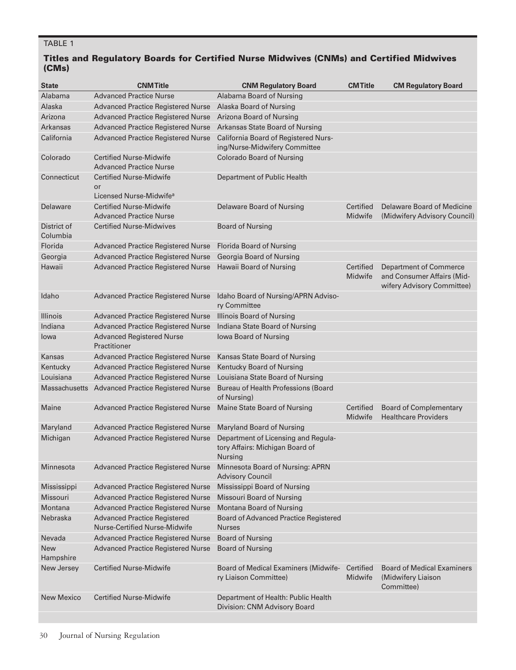## TABLE 1

## Titles and Regulatory Boards for Certified Nurse Midwives (CNMs) and Certified Midwives (CMs)

| <b>State</b>            | <b>CNM Title</b>                                                            | <b>CNM Regulatory Board</b>                                                       | <b>CMTitle</b>       | <b>CM Regulatory Board</b>                                                                |
|-------------------------|-----------------------------------------------------------------------------|-----------------------------------------------------------------------------------|----------------------|-------------------------------------------------------------------------------------------|
| Alabama                 | <b>Advanced Practice Nurse</b>                                              | Alabama Board of Nursing                                                          |                      |                                                                                           |
| Alaska                  | <b>Advanced Practice Registered Nurse</b>                                   | Alaska Board of Nursing                                                           |                      |                                                                                           |
| Arizona                 | <b>Advanced Practice Registered Nurse</b>                                   | Arizona Board of Nursing                                                          |                      |                                                                                           |
| <b>Arkansas</b>         | <b>Advanced Practice Registered Nurse</b>                                   | Arkansas State Board of Nursing                                                   |                      |                                                                                           |
| California              | <b>Advanced Practice Registered Nurse</b>                                   | California Board of Registered Nurs-<br>ing/Nurse-Midwifery Committee             |                      |                                                                                           |
| Colorado                | <b>Certified Nurse-Midwife</b><br><b>Advanced Practice Nurse</b>            | <b>Colorado Board of Nursing</b>                                                  |                      |                                                                                           |
| Connecticut             | <b>Certified Nurse-Midwife</b><br>or<br>Licensed Nurse-Midwife <sup>a</sup> | Department of Public Health                                                       |                      |                                                                                           |
| Delaware                | <b>Certified Nurse-Midwife</b><br><b>Advanced Practice Nurse</b>            | Delaware Board of Nursing                                                         | Certified<br>Midwife | Delaware Board of Medicine<br>(Midwifery Advisory Council)                                |
| District of<br>Columbia | <b>Certified Nurse-Midwives</b>                                             | <b>Board of Nursing</b>                                                           |                      |                                                                                           |
| Florida                 | <b>Advanced Practice Registered Nurse</b>                                   | Florida Board of Nursing                                                          |                      |                                                                                           |
| Georgia                 | <b>Advanced Practice Registered Nurse</b>                                   | Georgia Board of Nursing                                                          |                      |                                                                                           |
| Hawaii                  | <b>Advanced Practice Registered Nurse</b>                                   | Hawaii Board of Nursing                                                           | Certified<br>Midwife | <b>Department of Commerce</b><br>and Consumer Affairs (Mid-<br>wifery Advisory Committee) |
| Idaho                   | <b>Advanced Practice Registered Nurse</b>                                   | Idaho Board of Nursing/APRN Adviso-<br>ry Committee                               |                      |                                                                                           |
| <b>Illinois</b>         | <b>Advanced Practice Registered Nurse</b>                                   | <b>Illinois Board of Nursing</b>                                                  |                      |                                                                                           |
| Indiana                 | <b>Advanced Practice Registered Nurse</b>                                   | Indiana State Board of Nursing                                                    |                      |                                                                                           |
| lowa                    | <b>Advanced Registered Nurse</b><br>Practitioner                            | lowa Board of Nursing                                                             |                      |                                                                                           |
| Kansas                  | <b>Advanced Practice Registered Nurse</b>                                   | Kansas State Board of Nursing                                                     |                      |                                                                                           |
| Kentucky                | <b>Advanced Practice Registered Nurse</b>                                   | Kentucky Board of Nursing                                                         |                      |                                                                                           |
| Louisiana               | <b>Advanced Practice Registered Nurse</b>                                   | Louisiana State Board of Nursing                                                  |                      |                                                                                           |
| <b>Massachusetts</b>    | <b>Advanced Practice Registered Nurse</b>                                   | <b>Bureau of Health Professions (Board</b><br>of Nursing)                         |                      |                                                                                           |
| Maine                   | <b>Advanced Practice Registered Nurse</b>                                   | Maine State Board of Nursing                                                      | Certified<br>Midwife | <b>Board of Complementary</b><br><b>Healthcare Providers</b>                              |
| Maryland                | <b>Advanced Practice Registered Nurse</b>                                   | Maryland Board of Nursing                                                         |                      |                                                                                           |
| Michigan                | <b>Advanced Practice Registered Nurse</b>                                   | Department of Licensing and Regula-<br>tory Affairs: Michigan Board of<br>Nursing |                      |                                                                                           |
| Minnesota               | <b>Advanced Practice Registered Nurse</b>                                   | Minnesota Board of Nursing: APRN<br><b>Advisory Council</b>                       |                      |                                                                                           |
| Mississippi             | <b>Advanced Practice Registered Nurse</b>                                   | Mississippi Board of Nursing                                                      |                      |                                                                                           |
| Missouri                | <b>Advanced Practice Registered Nurse</b>                                   | Missouri Board of Nursing                                                         |                      |                                                                                           |
| Montana                 | <b>Advanced Practice Registered Nurse</b>                                   | Montana Board of Nursing                                                          |                      |                                                                                           |
| Nebraska                | <b>Advanced Practice Registered</b><br>Nurse-Certified Nurse-Midwife        | Board of Advanced Practice Registered<br><b>Nurses</b>                            |                      |                                                                                           |
| Nevada                  | <b>Advanced Practice Registered Nurse</b>                                   | <b>Board of Nursing</b>                                                           |                      |                                                                                           |
| New<br>Hampshire        | <b>Advanced Practice Registered Nurse</b>                                   | <b>Board of Nursing</b>                                                           |                      |                                                                                           |
| New Jersey              | <b>Certified Nurse-Midwife</b>                                              | Board of Medical Examiners (Midwife-<br>ry Liaison Committee)                     | Certified<br>Midwife | <b>Board of Medical Examiners</b><br>(Midwifery Liaison<br>Committee)                     |
| <b>New Mexico</b>       | <b>Certified Nurse-Midwife</b>                                              | Department of Health: Public Health<br>Division: CNM Advisory Board               |                      |                                                                                           |
|                         |                                                                             |                                                                                   |                      |                                                                                           |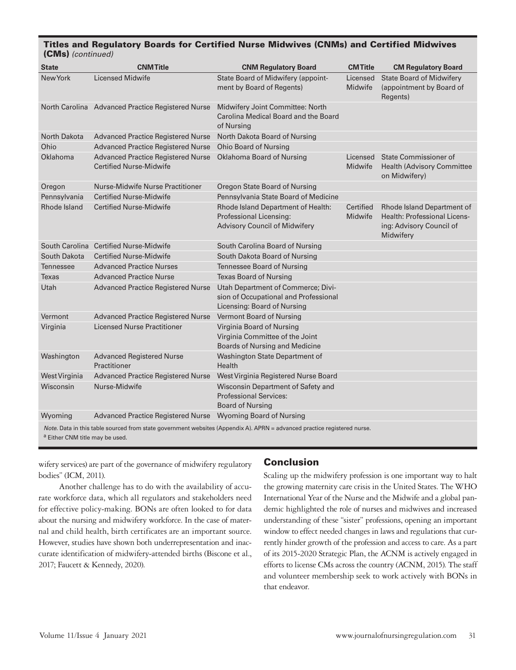| <b>State</b>                                                                                                                                                           | <b>CNMTitle</b>                                                             | <b>CNM Regulatory Board</b>                                                                                | <b>CMTitle</b>             | <b>CM Regulatory Board</b>                                                                          |
|------------------------------------------------------------------------------------------------------------------------------------------------------------------------|-----------------------------------------------------------------------------|------------------------------------------------------------------------------------------------------------|----------------------------|-----------------------------------------------------------------------------------------------------|
| New York                                                                                                                                                               | <b>Licensed Midwife</b>                                                     | State Board of Midwifery (appoint-<br>ment by Board of Regents)                                            | Licensed<br>Midwife        | <b>State Board of Midwifery</b><br>(appointment by Board of<br>Regents)                             |
|                                                                                                                                                                        | North Carolina Advanced Practice Registered Nurse                           | Midwifery Joint Committee: North<br>Carolina Medical Board and the Board<br>of Nursing                     |                            |                                                                                                     |
| North Dakota                                                                                                                                                           | <b>Advanced Practice Registered Nurse</b>                                   | North Dakota Board of Nursing                                                                              |                            |                                                                                                     |
| Ohio                                                                                                                                                                   | <b>Advanced Practice Registered Nurse</b>                                   | <b>Ohio Board of Nursing</b>                                                                               |                            |                                                                                                     |
| Oklahoma                                                                                                                                                               | <b>Advanced Practice Registered Nurse</b><br><b>Certified Nurse-Midwife</b> | Oklahoma Board of Nursing                                                                                  | Licensed<br><b>Midwife</b> | State Commissioner of<br><b>Health (Advisory Committee</b><br>on Midwifery)                         |
| Oregon                                                                                                                                                                 | Nurse-Midwife Nurse Practitioner                                            | Oregon State Board of Nursing                                                                              |                            |                                                                                                     |
| Pennsylvania                                                                                                                                                           | <b>Certified Nurse-Midwife</b>                                              | Pennsylvania State Board of Medicine                                                                       |                            |                                                                                                     |
| Rhode Island                                                                                                                                                           | <b>Certified Nurse-Midwife</b>                                              | <b>Rhode Island Department of Health:</b><br>Professional Licensing:<br>Advisory Council of Midwifery      | Certified<br>Midwife       | Rhode Island Department of<br>Health: Professional Licens-<br>ing: Advisory Council of<br>Midwifery |
|                                                                                                                                                                        | South Carolina Certified Nurse-Midwife                                      | South Carolina Board of Nursing                                                                            |                            |                                                                                                     |
| South Dakota                                                                                                                                                           | <b>Certified Nurse-Midwife</b>                                              | South Dakota Board of Nursing                                                                              |                            |                                                                                                     |
| Tennessee                                                                                                                                                              | <b>Advanced Practice Nurses</b>                                             | Tennessee Board of Nursing                                                                                 |                            |                                                                                                     |
| Texas                                                                                                                                                                  | <b>Advanced Practice Nurse</b>                                              | <b>Texas Board of Nursing</b>                                                                              |                            |                                                                                                     |
| Utah                                                                                                                                                                   | <b>Advanced Practice Registered Nurse</b>                                   | Utah Department of Commerce; Divi-<br>sion of Occupational and Professional<br>Licensing: Board of Nursing |                            |                                                                                                     |
| Vermont                                                                                                                                                                | <b>Advanced Practice Registered Nurse</b>                                   | Vermont Board of Nursing                                                                                   |                            |                                                                                                     |
| Virginia                                                                                                                                                               | <b>Licensed Nurse Practitioner</b>                                          | Virginia Board of Nursing<br>Virginia Committee of the Joint<br>Boards of Nursing and Medicine             |                            |                                                                                                     |
| Washington                                                                                                                                                             | <b>Advanced Registered Nurse</b><br>Practitioner                            | Washington State Department of<br>Health                                                                   |                            |                                                                                                     |
| West Virginia                                                                                                                                                          | <b>Advanced Practice Registered Nurse</b>                                   | West Virginia Registered Nurse Board                                                                       |                            |                                                                                                     |
| Wisconsin                                                                                                                                                              | Nurse-Midwife                                                               | Wisconsin Department of Safety and<br><b>Professional Services:</b><br><b>Board of Nursing</b>             |                            |                                                                                                     |
| Wyoming                                                                                                                                                                | <b>Advanced Practice Registered Nurse</b>                                   | <b>Wyoming Board of Nursing</b>                                                                            |                            |                                                                                                     |
| Note. Data in this table sourced from state government websites (Appendix A). APRN = advanced practice registered nurse.<br><sup>a</sup> Either CNM title may be used. |                                                                             |                                                                                                            |                            |                                                                                                     |

## Titles and Regulatory Boards for Certified Nurse Midwives (CNMs) and Certified Midwives

wifery services) are part of the governance of midwifery regulatory bodies" (ICM, 2011).

Another challenge has to do with the availability of accurate workforce data, which all regulators and stakeholders need for effective policy-making. BONs are often looked to for data about the nursing and midwifery workforce. In the case of maternal and child health, birth certificates are an important source. However, studies have shown both underrepresentation and inaccurate identification of midwifery-attended births (Biscone et al., 2017; Faucett & Kennedy, 2020).

### Conclusion

Scaling up the midwifery profession is one important way to halt the growing maternity care crisis in the United States. The WHO International Year of the Nurse and the Midwife and a global pandemic highlighted the role of nurses and midwives and increased understanding of these "sister" professions, opening an important window to effect needed changes in laws and regulations that currently hinder growth of the profession and access to care. As a part of its 2015-2020 Strategic Plan, the ACNM is actively engaged in efforts to license CMs across the country (ACNM, 2015). The staff and volunteer membership seek to work actively with BONs in that endeavor.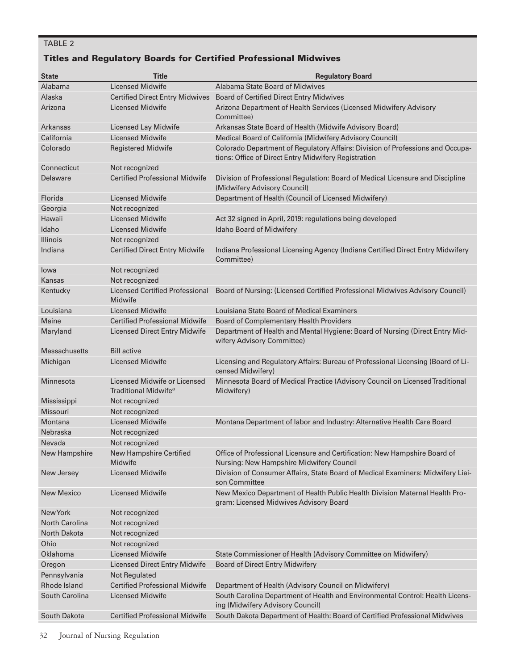## TABLE 2

## Titles and Regulatory Boards for Certified Professional Midwives

| <b>State</b>          | <b>Title</b>                                                     | <b>Regulatory Board</b>                                                                                                                |
|-----------------------|------------------------------------------------------------------|----------------------------------------------------------------------------------------------------------------------------------------|
| Alabama               | <b>Licensed Midwife</b>                                          | Alabama State Board of Midwives                                                                                                        |
| Alaska                | <b>Certified Direct Entry Midwives</b>                           | <b>Board of Certified Direct Entry Midwives</b>                                                                                        |
| Arizona               | <b>Licensed Midwife</b>                                          | Arizona Department of Health Services (Licensed Midwifery Advisory<br>Committee)                                                       |
| <b>Arkansas</b>       | Licensed Lay Midwife                                             | Arkansas State Board of Health (Midwife Advisory Board)                                                                                |
| California            | <b>Licensed Midwife</b>                                          | Medical Board of California (Midwifery Advisory Council)                                                                               |
| Colorado              | <b>Registered Midwife</b>                                        | Colorado Department of Regulatory Affairs: Division of Professions and Occupa-<br>tions: Office of Direct Entry Midwifery Registration |
| Connecticut           | Not recognized                                                   |                                                                                                                                        |
| Delaware              | <b>Certified Professional Midwife</b>                            | Division of Professional Regulation: Board of Medical Licensure and Discipline<br>(Midwifery Advisory Council)                         |
| Florida               | Licensed Midwife                                                 | Department of Health (Council of Licensed Midwifery)                                                                                   |
| Georgia               | Not recognized                                                   |                                                                                                                                        |
| Hawaii                | <b>Licensed Midwife</b>                                          | Act 32 signed in April, 2019: regulations being developed                                                                              |
| Idaho                 | <b>Licensed Midwife</b>                                          | Idaho Board of Midwifery                                                                                                               |
| <b>Illinois</b>       | Not recognized                                                   |                                                                                                                                        |
| Indiana               | <b>Certified Direct Entry Midwife</b>                            | Indiana Professional Licensing Agency (Indiana Certified Direct Entry Midwifery<br>Committee)                                          |
| lowa                  | Not recognized                                                   |                                                                                                                                        |
| Kansas                | Not recognized                                                   |                                                                                                                                        |
| Kentucky              | <b>Licensed Certified Professional</b><br>Midwife                | Board of Nursing: (Licensed Certified Professional Midwives Advisory Council)                                                          |
| Louisiana             | Licensed Midwife                                                 | Louisiana State Board of Medical Examiners                                                                                             |
| Maine                 | <b>Certified Professional Midwife</b>                            | Board of Complementary Health Providers                                                                                                |
| Maryland              | <b>Licensed Direct Entry Midwife</b>                             | Department of Health and Mental Hygiene: Board of Nursing (Direct Entry Mid-<br>wifery Advisory Committee)                             |
| <b>Massachusetts</b>  | <b>Bill active</b>                                               |                                                                                                                                        |
| Michigan              | <b>Licensed Midwife</b>                                          | Licensing and Regulatory Affairs: Bureau of Professional Licensing (Board of Li-<br>censed Midwifery)                                  |
| Minnesota             | Licensed Midwife or Licensed<br>Traditional Midwife <sup>a</sup> | Minnesota Board of Medical Practice (Advisory Council on Licensed Traditional<br>Midwifery)                                            |
| Mississippi           | Not recognized                                                   |                                                                                                                                        |
| Missouri              | Not recognized                                                   |                                                                                                                                        |
| Montana               | <b>Licensed Midwife</b>                                          | Montana Department of labor and Industry: Alternative Health Care Board                                                                |
| Nebraska              | Not recognized                                                   |                                                                                                                                        |
| Nevada                | Not recognized                                                   |                                                                                                                                        |
| New Hampshire         | New Hampshire Certified<br>Midwife                               | Office of Professional Licensure and Certification: New Hampshire Board of<br>Nursing: New Hampshire Midwifery Council                 |
| New Jersey            | <b>Licensed Midwife</b>                                          | Division of Consumer Affairs, State Board of Medical Examiners: Midwifery Liai-<br>son Committee                                       |
| New Mexico            | Licensed Midwife                                                 | New Mexico Department of Health Public Health Division Maternal Health Pro-<br>gram: Licensed Midwives Advisory Board                  |
| New York              | Not recognized                                                   |                                                                                                                                        |
| <b>North Carolina</b> | Not recognized                                                   |                                                                                                                                        |
| North Dakota          | Not recognized                                                   |                                                                                                                                        |
| Ohio                  | Not recognized                                                   |                                                                                                                                        |
| Oklahoma              | <b>Licensed Midwife</b>                                          | State Commissioner of Health (Advisory Committee on Midwifery)                                                                         |
| Oregon                | <b>Licensed Direct Entry Midwife</b>                             | <b>Board of Direct Entry Midwifery</b>                                                                                                 |
| Pennsylvania          | Not Regulated                                                    |                                                                                                                                        |
| Rhode Island          | <b>Certified Professional Midwife</b>                            | Department of Health (Advisory Council on Midwifery)                                                                                   |
| South Carolina        | <b>Licensed Midwife</b>                                          | South Carolina Department of Health and Environmental Control: Health Licens-<br>ing (Midwifery Advisory Council)                      |
| South Dakota          | <b>Certified Professional Midwife</b>                            | South Dakota Department of Health: Board of Certified Professional Midwives                                                            |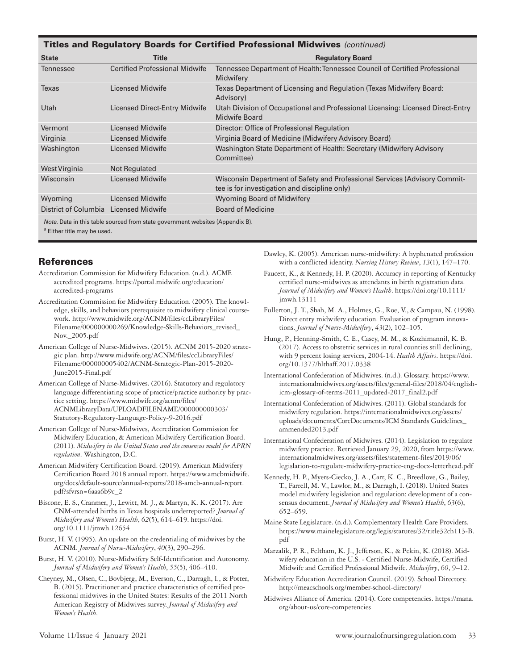| <b>Titles and Regulatory Boards for Certified Professional Midwives</b> (continued)                                                                                                                                               |                                       |                                                                                                                             |  |
|-----------------------------------------------------------------------------------------------------------------------------------------------------------------------------------------------------------------------------------|---------------------------------------|-----------------------------------------------------------------------------------------------------------------------------|--|
| <b>State</b>                                                                                                                                                                                                                      | Title                                 | <b>Regulatory Board</b>                                                                                                     |  |
| <b>Tennessee</b>                                                                                                                                                                                                                  | <b>Certified Professional Midwife</b> | Tennessee Department of Health: Tennessee Council of Certified Professional<br>Midwifery                                    |  |
| Texas                                                                                                                                                                                                                             | <b>Licensed Midwife</b>               | Texas Department of Licensing and Regulation (Texas Midwifery Board:<br>Advisory)                                           |  |
| Utah                                                                                                                                                                                                                              | Licensed Direct-Entry Midwife         | Utah Division of Occupational and Professional Licensing: Licensed Direct-Entry<br>Midwife Board                            |  |
| Vermont                                                                                                                                                                                                                           | <b>Licensed Midwife</b>               | Director: Office of Professional Regulation                                                                                 |  |
| Virginia                                                                                                                                                                                                                          | <b>Licensed Midwife</b>               | Virginia Board of Medicine (Midwifery Advisory Board)                                                                       |  |
| Washington                                                                                                                                                                                                                        | <b>Licensed Midwife</b>               | Washington State Department of Health: Secretary (Midwifery Advisory<br>Committee)                                          |  |
| West Virginia                                                                                                                                                                                                                     | Not Regulated                         |                                                                                                                             |  |
| Wisconsin                                                                                                                                                                                                                         | <b>Licensed Midwife</b>               | Wisconsin Department of Safety and Professional Services (Advisory Commit-<br>tee is for investigation and discipline only) |  |
| Wyoming                                                                                                                                                                                                                           | <b>Licensed Midwife</b>               | Wyoming Board of Midwifery                                                                                                  |  |
| District of Columbia Licensed Midwife                                                                                                                                                                                             |                                       | <b>Board of Medicine</b>                                                                                                    |  |
| $\mathcal{M}$ , and the set of the set of the set of the set of the set of the set of the set of the set of the set of the set of the set of the set of the set of the set of the set of the set of the set of the set of the set |                                       |                                                                                                                             |  |

*Note.* Data in this table sourced from state government websites (Appendix B).

a Either title may be used.

#### **References**

- Accreditation Commission for Midwifery Education. (n.d.). ACME accredited programs. https://portal.midwife.org/education/ accredited-programs
- Accreditation Commission for Midwifery Education. (2005). The knowledge, skills, and behaviors prerequisite to midwifery clinical coursework. http://www.midwife.org/ACNM/files/ccLibraryFiles/ Filename/000000000269/Knowledge-Skills-Behaviors\_revised\_ Nov.\_2005.pdf
- American College of Nurse-Midwives. (2015). ACNM 2015-2020 strategic plan. http://www.midwife.org/ACNM/files/ccLibraryFiles/ Filename/000000005402/ACNM-Strategic-Plan-2015-2020- June2015-Final.pdf
- American College of Nurse-Midwives. (2016). Statutory and regulatory language differentiating scope of practice/practice authority by practice setting. https://www.midwife.org/acnm/files/ ACNMLibraryData/UPLOADFILENAME/000000000303/ Statutory-Regulatory-Language-Policy-9-2016.pdf
- American College of Nurse-Midwives, Accreditation Commission for Midwifery Education, & American Midwifery Certification Board. (2011). *Midwifery in the United States and the consensus model for APRN regulation*. Washington, D.C.
- American Midwifery Certification Board. (2019). American Midwifery Certification Board 2018 annual report. https://www.amcbmidwife. org/docs/default-source/annual-reports/2018-amcb-annual-report. pdf?sfvrsn=6aaa6b9c\_2
- Biscone, E. S., Cranmer, J., Lewitt, M. J., & Martyn, K. K. (2017). Are CNM-attended births in Texas hospitals underreported? *Journal of Midwifery and Women's Health*, *62*(5), 614–619. https://doi. org/10.1111/jmwh.12654
- Burst, H. V. (1995). An update on the credentialing of midwives by the ACNM. *Journal of Nurse-Midwifery*, *40*(3), 290–296.
- Burst, H. V. (2010). Nurse-Midwifery Self-Identification and Autonomy. *Journal of Midwifery and Women's Health*, *55*(5), 406–410.
- Cheyney, M., Olsen, C., Bovbjerg, M., Everson, C., Darragh, I., & Potter, B. (2015). Practitioner and practice characteristics of certified professional midwives in the United States: Results of the 2011 North American Registry of Midwives survey. *Journal of Midwifery and Women's Health*.

Dawley, K. (2005). American nurse-midwifery: A hyphenated profession with a conflicted identity. *Nursing History Review*, *13*(1), 147–170.

- Faucett, K., & Kennedy, H. P. (2020). Accuracy in reporting of Kentucky certified nurse-midwives as attendants in birth registration data. *Journal of Midwifery and Women's Health*. https://doi.org/10.1111/ jmwh.13111
- Fullerton, J. T., Shah, M. A., Holmes, G., Roe, V., & Campau, N. (1998). Direct entry midwifery education. Evaluation of program innovations. *Journal of Nurse-Midwifery*, *43*(2), 102–105.
- Hung, P., Henning-Smith, C. E., Casey, M. M., & Kozhimannil, K. B. (2017). Access to obstetric services in rural counties still declining, with 9 percent losing services, 2004-14. *Health Affairs*. https://doi. org/10.1377/hlthaff.2017.0338
- International Confederation of Midwives. (n.d.). Glossary. https://www. internationalmidwives.org/assets/files/general-files/2018/04/englishicm-glossary-of-terms-2011\_updated-2017\_final2.pdf
- International Confederation of Midwives. (2011). Global standards for midwifery regulation. https://internationalmidwives.org/assets/ uploads/documents/CoreDocuments/ICM Standards Guidelines\_ ammended2013.pdf
- International Confederation of Midwives. (2014). Legislation to regulate midwifery practice. Retrieved January 29, 2020, from https://www. internationalmidwives.org/assets/files/statement-files/2019/06/ legislation-to-regulate-midwifery-practice-eng-docx-letterhead.pdf
- Kennedy, H. P., Myers-Ciecko, J. A., Carr, K. C., Breedlove, G., Bailey, T., Farrell, M. V., Lawlor, M., & Darragh, I. (2018). United States model midwifery legislation and regulation: development of a consensus document. *Journal of Midwifery and Women's Health*, *63*(6), 652–659.
- Maine State Legislature. (n.d.). Complementary Health Care Providers. https://www.mainelegislature.org/legis/statutes/32/title32ch113-B. pdf
- Marzalik, P. R., Feltham, K. J., Jefferson, K., & Pekin, K. (2018). Midwifery education in the U.S. - Certified Nurse-Midwife, Certified Midwife and Certified Professional Midwife. *Midwifery*, *60*, 9–12.
- Midwifery Education Accreditation Council. (2019). School Directory. http://meacschools.org/member-school-directory/
- Midwives Alliance of America. (2014). Core competencies. https://mana. org/about-us/core-competencies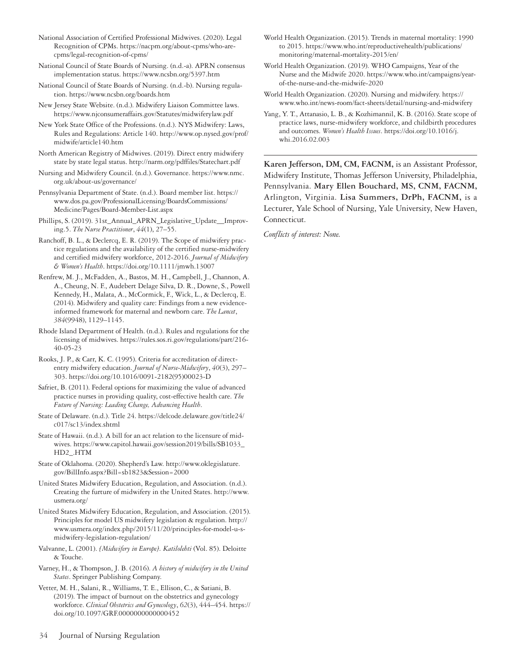- National Association of Certified Professional Midwives. (2020). Legal Recognition of CPMs. https://nacpm.org/about-cpms/who-arecpms/legal-recognition-of-cpms/
- National Council of State Boards of Nursing. (n.d.-a). APRN consensus implementation status. https://www.ncsbn.org/5397.htm
- National Council of State Boards of Nursing. (n.d.-b). Nursing regulation. https://www.ncsbn.org/boards.htm
- New Jersey State Website. (n.d.). Midwifery Liaison Committee laws. https://www.njconsumeraffairs.gov/Statutes/midwiferylaw.pdf
- New York State Office of the Professions. (n.d.). NYS Midwifery: Laws, Rules and Regulations: Article 140. http://www.op.nysed.gov/prof/ midwife/article140.htm
- North American Registry of Midwives. (2019). Direct entry midwifery state by state legal status. http://narm.org/pdffiles/Statechart.pdf
- Nursing and Midwifery Council. (n.d.). Governance. https://www.nmc. org.uk/about-us/governance/
- Pennsylvania Department of State. (n.d.). Board member list. https:// www.dos.pa.gov/ProfessionalLicensing/BoardsCommissions/ Medicine/Pages/Board-Member-List.aspx
- Phillips, S. (2019). 31st\_Annual\_APRN\_Legislative\_Update\_\_Improving.5. *The Nurse Practitioner*, *44*(1), 27–55.
- Ranchoff, B. L., & Declercq, E. R. (2019). The Scope of midwifery practice regulations and the availability of the certified nurse-midwifery and certified midwifery workforce, 2012‐2016. *Journal of Midwifery & Women's Health*. https://doi.org/10.1111/jmwh.13007
- Renfrew, M. J., McFadden, A., Bastos, M. H., Campbell, J., Channon, A. A., Cheung, N. F., Audebert Delage Silva, D. R., Downe, S., Powell Kennedy, H., Malata, A., McCormick, F., Wick, L., & Declercq, E. (2014). Midwifery and quality care: Findings from a new evidenceinformed framework for maternal and newborn care. *The Lancet*, *384*(9948), 1129–1145.
- Rhode Island Department of Health. (n.d.). Rules and regulations for the licensing of midwives. https://rules.sos.ri.gov/regulations/part/216- 40-05-23
- Rooks, J. P., & Carr, K. C. (1995). Criteria for accreditation of directentry midwifery education. *Journal of Nurse-Midwifery*, *40*(3), 297– 303. https://doi.org/10.1016/0091-2182(95)00023-D
- Safriet, B. (2011). Federal options for maximizing the value of advanced practice nurses in providing quality, cost-effective health care. *The Future of Nursing: Leading Change, Advancing Health*.
- State of Delaware. (n.d.). Title 24. https://delcode.delaware.gov/title24/ c017/sc13/index.shtml
- State of Hawaii. (n.d.). A bill for an act relation to the licensure of midwives. https://www.capitol.hawaii.gov/session2019/bills/SB1033\_ HD2\_.HTM
- State of Oklahoma. (2020). Shepherd's Law. http://www.oklegislature. gov/BillInfo.aspx?Bill=sb1823&Session=2000
- United States Midwifery Education, Regulation, and Association. (n.d.). Creating the furture of midwifery in the United States. http://www. usmera.org/
- United States Midwifery Education, Regulation, and Association. (2015). Principles for model US midwifery legislation & regulation. http:// www.usmera.org/index.php/2015/11/20/principles-for-model-u-smidwifery-legislation-regulation/
- Valvanne, L. (2001). *[Midwifery in Europe]. Katilolehti* (Vol. 85). Deloitte & Touche.
- Varney, H., & Thompson, J. B. (2016). *A history of midwifery in the United States*. Springer Publishing Company.
- Vetter, M. H., Salani, R., Williams, T. E., Ellison, C., & Satiani, B. (2019). The impact of burnout on the obstetrics and gynecology workforce. *Clinical Obstetrics and Gynecology*, *62*(3), 444–454. https:// doi.org/10.1097/GRF.0000000000000452
- World Health Organization. (2015). Trends in maternal mortality: 1990 to 2015. https://www.who.int/reproductivehealth/publications/ monitoring/maternal-mortality-2015/en/
- World Health Organization. (2019). WHO Campaigns, Year of the Nurse and the Midwife 2020. https://www.who.int/campaigns/yearof-the-nurse-and-the-midwife-2020
- World Health Organization. (2020). Nursing and midwifery. https:// www.who.int/news-room/fact-sheets/detail/nursing-and-midwifery
- Yang, Y. T., Attanasio, L. B., & Kozhimannil, K. B. (2016). State scope of practice laws, nurse-midwifery workforce, and childbirth procedures and outcomes. *Women's Health Issues*. https://doi.org/10.1016/j. whi.2016.02.003

**Karen Jefferson, DM, CM, FACNM,** is an Assistant Professor, Midwifery Institute, Thomas Jefferson University, Philadelphia, Pennsylvania. **Mary Ellen Bouchard, MS, CNM, FACNM,** Arlington, Virginia. **Lisa Summers, DrPh, FACNM,** is a Lecturer, Yale School of Nursing, Yale University, New Haven, Connecticut.

*Conflicts of interest: None.*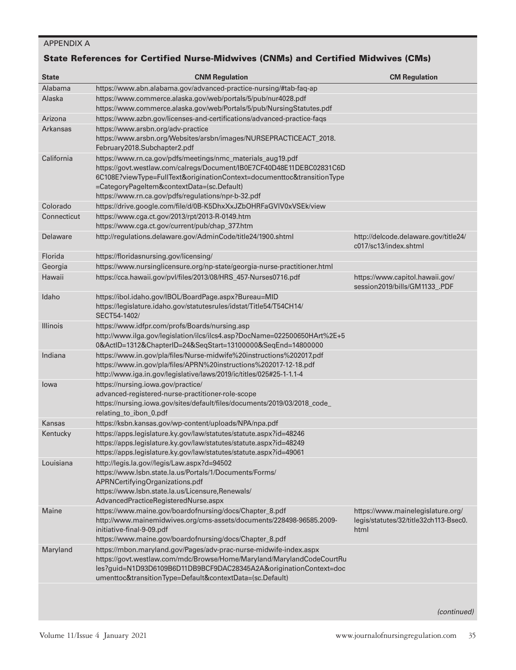## APPENDIX A

## State References for Certified Nurse-Midwives (CNMs) and Certified Midwives (CMs)

| <b>State</b>    | <b>CNM Regulation</b>                                                                                                                                                                                                                                                                                               | <b>CM Regulation</b>                                                               |
|-----------------|---------------------------------------------------------------------------------------------------------------------------------------------------------------------------------------------------------------------------------------------------------------------------------------------------------------------|------------------------------------------------------------------------------------|
| Alabama         | https://www.abn.alabama.gov/advanced-practice-nursing/#tab-faq-ap                                                                                                                                                                                                                                                   |                                                                                    |
| Alaska          | https://www.commerce.alaska.gov/web/portals/5/pub/nur4028.pdf<br>https://www.commerce.alaska.gov/web/Portals/5/pub/NursingStatutes.pdf                                                                                                                                                                              |                                                                                    |
| Arizona         | https://www.azbn.gov/licenses-and-certifications/advanced-practice-faqs                                                                                                                                                                                                                                             |                                                                                    |
| <b>Arkansas</b> | https://www.arsbn.org/adv-practice<br>https://www.arsbn.org/Websites/arsbn/images/NURSEPRACTICEACT_2018.<br>February2018.Subchapter2.pdf                                                                                                                                                                            |                                                                                    |
| California      | https://www.rn.ca.gov/pdfs/meetings/nmc_materials_aug19.pdf<br>https://govt.westlaw.com/calregs/Document/IB0E7CF40D48E11DEBC02831C6D<br>6C108E?viewType=FullText&originationContext=documenttoc&transitionType<br>=CategoryPageItem&contextData=(sc.Default)<br>https://www.rn.ca.gov/pdfs/regulations/npr-b-32.pdf |                                                                                    |
| Colorado        | https://drive.google.com/file/d/0B-K5DhxXxJZbOHRFaGVIV0xVSEk/view                                                                                                                                                                                                                                                   |                                                                                    |
| Connecticut     | https://www.cga.ct.gov/2013/rpt/2013-R-0149.htm<br>https://www.cga.ct.gov/current/pub/chap_377.htm                                                                                                                                                                                                                  |                                                                                    |
| Delaware        | http://regulations.delaware.gov/AdminCode/title24/1900.shtml                                                                                                                                                                                                                                                        | http://delcode.delaware.gov/title24/<br>c017/sc13/index.shtml                      |
| Florida         | https://floridasnursing.gov/licensing/                                                                                                                                                                                                                                                                              |                                                                                    |
| Georgia         | https://www.nursinglicensure.org/np-state/georgia-nurse-practitioner.html                                                                                                                                                                                                                                           |                                                                                    |
| Hawaii          | https://cca.hawaii.gov/pvl/files/2013/08/HRS_457-Nurses0716.pdf                                                                                                                                                                                                                                                     | https://www.capitol.hawaii.gov/<br>session2019/bills/GM1133_.PDF                   |
| Idaho           | https://ibol.idaho.gov/IBOL/BoardPage.aspx?Bureau=MID<br>https://legislature.idaho.gov/statutesrules/idstat/Title54/T54CH14/<br>SECT54-1402/                                                                                                                                                                        |                                                                                    |
| <b>Illinois</b> | https://www.idfpr.com/profs/Boards/nursing.asp<br>http://www.ilga.gov/legislation/ilcs/ilcs4.asp?DocName=022500650HArt%2E+5<br>0&ActID=1312&ChapterID=24&SeqStart=13100000&SeqEnd=14800000                                                                                                                          |                                                                                    |
| Indiana         | https://www.in.gov/pla/files/Nurse-midwife%20instructions%202017.pdf<br>https://www.in.gov/pla/files/APRN%20instructions%202017-12-18.pdf<br>http://www.iga.in.gov/legislative/laws/2019/ic/titles/025#25-1-1.1-4                                                                                                   |                                                                                    |
| lowa            | https://nursing.iowa.gov/practice/<br>advanced-registered-nurse-practitioner-role-scope<br>https://nursing.iowa.gov/sites/default/files/documents/2019/03/2018_code_<br>relating_to_ibon_0.pdf                                                                                                                      |                                                                                    |
| Kansas          | https://ksbn.kansas.gov/wp-content/uploads/NPA/npa.pdf                                                                                                                                                                                                                                                              |                                                                                    |
| Kentucky        | https://apps.legislature.ky.gov/law/statutes/statute.aspx?id=48246<br>https://apps.legislature.ky.gov/law/statutes/statute.aspx?id=48249<br>https://apps.legislature.ky.gov/law/statutes/statute.aspx?id=49061                                                                                                      |                                                                                    |
| Louisiana       | http://legis.la.gov//legis/Law.aspx?d=94502<br>https://www.lsbn.state.la.us/Portals/1/Documents/Forms/<br>APRNCertifyingOrganizations.pdf<br>https://www.lsbn.state.la.us/Licensure,Renewals/<br>AdvancedPracticeRegisteredNurse.aspx                                                                               |                                                                                    |
| Maine           | https://www.maine.gov/boardofnursing/docs/Chapter_8.pdf<br>http://www.mainemidwives.org/cms-assets/documents/228498-96585.2009-<br>initiative-final-9-09.pdf<br>https://www.maine.gov/boardofnursing/docs/Chapter_8.pdf                                                                                             | https://www.mainelegislature.org/<br>legis/statutes/32/title32ch113-Bsec0.<br>html |
| Maryland        | https://mbon.maryland.gov/Pages/adv-prac-nurse-midwife-index.aspx<br>https://govt.westlaw.com/mdc/Browse/Home/Maryland/MarylandCodeCourtRu<br>les?guid=N1D93D6109B6D11DB9BCF9DAC28345A2A&originationContext=doc<br>umenttoc&transitionType=Default&contextData=(sc.Default)                                         |                                                                                    |

*(continued)*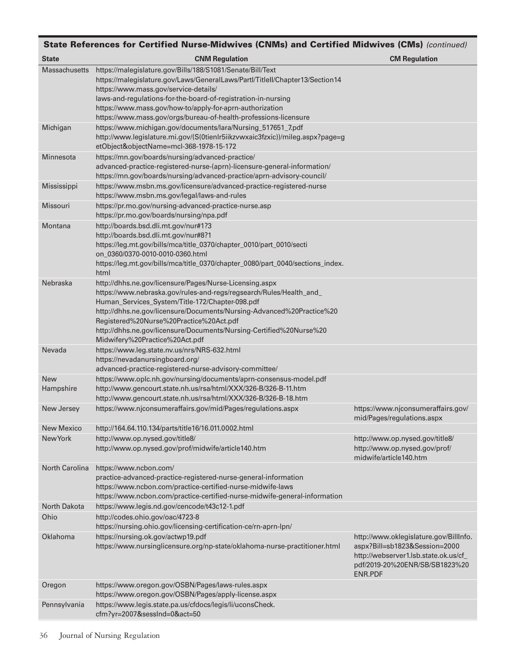| State References for Certified Nurse-Midwives (CNMs) and Certified Midwives (CMs) (continued) |                                                                                                                                                                                                                                                                                                                                                                                                                |                                                                                                                                                                      |  |
|-----------------------------------------------------------------------------------------------|----------------------------------------------------------------------------------------------------------------------------------------------------------------------------------------------------------------------------------------------------------------------------------------------------------------------------------------------------------------------------------------------------------------|----------------------------------------------------------------------------------------------------------------------------------------------------------------------|--|
| <b>State</b>                                                                                  | <b>CNM Regulation</b>                                                                                                                                                                                                                                                                                                                                                                                          | <b>CM Regulation</b>                                                                                                                                                 |  |
| <b>Massachusetts</b>                                                                          | https://malegislature.gov/Bills/188/S1081/Senate/Bill/Text<br>https://malegislature.gov/Laws/GeneralLaws/Partl/Titlell/Chapter13/Section14<br>https://www.mass.gov/service-details/<br>laws-and-regulations-for-the-board-of-registration-in-nursing<br>https://www.mass.gov/how-to/apply-for-aprn-authorization<br>https://www.mass.gov/orgs/bureau-of-health-professions-licensure                           |                                                                                                                                                                      |  |
| Michigan                                                                                      | https://www.michigan.gov/documents/lara/Nursing_517651_7.pdf<br>http://www.legislature.mi.gov/(S(0tienIr5iikzvwxaic3fzxic))/mileg.aspx?page=g<br>etObject&objectName=mcl-368-1978-15-172                                                                                                                                                                                                                       |                                                                                                                                                                      |  |
| Minnesota                                                                                     | https://mn.gov/boards/nursing/advanced-practice/<br>advanced-practice-registered-nurse-(aprn)-licensure-general-information/<br>https://mn.gov/boards/nursing/advanced-practice/aprn-advisory-council/                                                                                                                                                                                                         |                                                                                                                                                                      |  |
| Mississippi                                                                                   | https://www.msbn.ms.gov/licensure/advanced-practice-registered-nurse<br>https://www.msbn.ms.gov/legal/laws-and-rules                                                                                                                                                                                                                                                                                           |                                                                                                                                                                      |  |
| Missouri                                                                                      | https://pr.mo.gov/nursing-advanced-practice-nurse.asp<br>https://pr.mo.gov/boards/nursing/npa.pdf                                                                                                                                                                                                                                                                                                              |                                                                                                                                                                      |  |
| Montana                                                                                       | http://boards.bsd.dli.mt.gov/nur#1?3<br>http://boards.bsd.dli.mt.gov/nur#8?1<br>https://leg.mt.gov/bills/mca/title_0370/chapter_0010/part_0010/secti<br>on_0360/0370-0010-0010-0360.html<br>https://leg.mt.gov/bills/mca/title_0370/chapter_0080/part_0040/sections_index.<br>html                                                                                                                             |                                                                                                                                                                      |  |
| Nebraska                                                                                      | http://dhhs.ne.gov/licensure/Pages/Nurse-Licensing.aspx<br>https://www.nebraska.gov/rules-and-regs/regsearch/Rules/Health_and_<br>Human_Services_System/Title-172/Chapter-098.pdf<br>http://dhhs.ne.gov/licensure/Documents/Nursing-Advanced%20Practice%20<br>Registered%20Nurse%20Practice%20Act.pdf<br>http://dhhs.ne.gov/licensure/Documents/Nursing-Certified%20Nurse%20<br>Midwifery%20Practice%20Act.pdf |                                                                                                                                                                      |  |
| Nevada                                                                                        | https://www.leg.state.nv.us/nrs/NRS-632.html<br>https://nevadanursingboard.org/<br>advanced-practice-registered-nurse-advisory-committee/                                                                                                                                                                                                                                                                      |                                                                                                                                                                      |  |
| <b>New</b><br>Hampshire                                                                       | https://www.oplc.nh.gov/nursing/documents/aprn-consensus-model.pdf<br>http://www.gencourt.state.nh.us/rsa/html/XXX/326-B/326-B-11.htm<br>http://www.gencourt.state.nh.us/rsa/html/XXX/326-B/326-B-18.htm                                                                                                                                                                                                       |                                                                                                                                                                      |  |
| New Jersey                                                                                    | https://www.njconsumeraffairs.gov/mid/Pages/regulations.aspx                                                                                                                                                                                                                                                                                                                                                   | https://www.njconsumeraffairs.gov/<br>mid/Pages/regulations.aspx                                                                                                     |  |
| <b>New Mexico</b>                                                                             | http://164.64.110.134/parts/title16/16.011.0002.html                                                                                                                                                                                                                                                                                                                                                           |                                                                                                                                                                      |  |
| New York                                                                                      | http://www.op.nysed.gov/title8/<br>http://www.op.nysed.gov/prof/midwife/article140.htm                                                                                                                                                                                                                                                                                                                         | http://www.op.nysed.gov/title8/<br>http://www.op.nysed.gov/prof/<br>midwife/article140.htm                                                                           |  |
| North Carolina                                                                                | https://www.ncbon.com/<br>practice-advanced-practice-registered-nurse-general-information<br>https://www.ncbon.com/practice-certified-nurse-midwife-laws<br>https://www.ncbon.com/practice-certified-nurse-midwife-general-information                                                                                                                                                                         |                                                                                                                                                                      |  |
| North Dakota                                                                                  | https://www.legis.nd.gov/cencode/t43c12-1.pdf                                                                                                                                                                                                                                                                                                                                                                  |                                                                                                                                                                      |  |
| Ohio                                                                                          | http://codes.ohio.gov/oac/4723-8<br>https://nursing.ohio.gov/licensing-certification-ce/rn-aprn-lpn/                                                                                                                                                                                                                                                                                                           |                                                                                                                                                                      |  |
| Oklahoma                                                                                      | https://nursing.ok.gov/actwp19.pdf<br>https://www.nursinglicensure.org/np-state/oklahoma-nurse-practitioner.html                                                                                                                                                                                                                                                                                               | http://www.oklegislature.gov/BillInfo.<br>aspx?Bill=sb1823&Session=2000<br>http://webserver1.lsb.state.ok.us/cf_<br>pdf/2019-20%20ENR/SB/SB1823%20<br><b>ENR.PDF</b> |  |
| Oregon                                                                                        | https://www.oregon.gov/OSBN/Pages/laws-rules.aspx<br>https://www.oregon.gov/OSBN/Pages/apply-license.aspx                                                                                                                                                                                                                                                                                                      |                                                                                                                                                                      |  |
| Pennsylvania                                                                                  | https://www.legis.state.pa.us/cfdocs/legis/li/uconsCheck.<br>cfm?yr=2007&sessInd=0&act=50                                                                                                                                                                                                                                                                                                                      |                                                                                                                                                                      |  |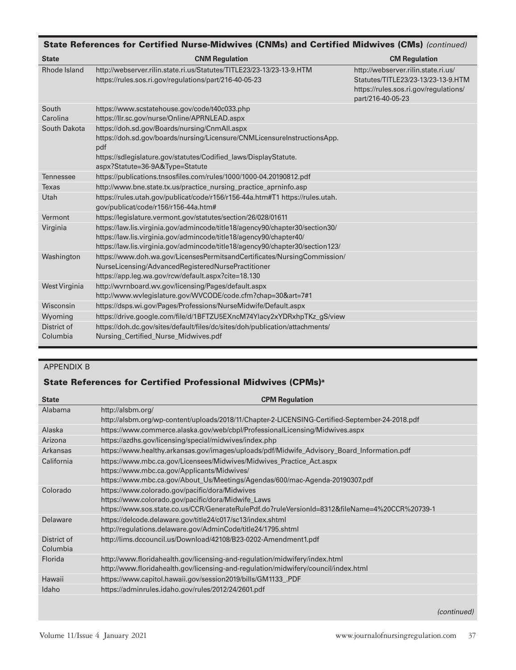| State References for Certified Nurse-Midwives (CNMs) and Certified Midwives (CMs) (continued) |                                                                                                                                                                                                                                         |                                                                                                                                         |  |
|-----------------------------------------------------------------------------------------------|-----------------------------------------------------------------------------------------------------------------------------------------------------------------------------------------------------------------------------------------|-----------------------------------------------------------------------------------------------------------------------------------------|--|
| <b>State</b>                                                                                  | <b>CNM Regulation</b>                                                                                                                                                                                                                   | <b>CM Regulation</b>                                                                                                                    |  |
| Rhode Island                                                                                  | http://webserver.rilin.state.ri.us/Statutes/TITLE23/23-13/23-13-9.HTM<br>https://rules.sos.ri.gov/regulations/part/216-40-05-23                                                                                                         | http://webserver.rilin.state.ri.us/<br>Statutes/TITLE23/23-13/23-13-9.HTM<br>https://rules.sos.ri.gov/regulations/<br>part/216-40-05-23 |  |
| South<br>Carolina                                                                             | https://www.scstatehouse.gov/code/t40c033.php<br>https://llr.sc.gov/nurse/Online/APRNLEAD.aspx                                                                                                                                          |                                                                                                                                         |  |
| South Dakota                                                                                  | https://doh.sd.gov/Boards/nursing/CnmAll.aspx<br>https://doh.sd.gov/boards/nursing/Licensure/CNMLicensureInstructionsApp.<br>pdf<br>https://sdlegislature.gov/statutes/Codified_laws/DisplayStatute.<br>aspx?Statute=36-9A&Type=Statute |                                                                                                                                         |  |
| Tennessee                                                                                     | https://publications.tnsosfiles.com/rules/1000/1000-04.20190812.pdf                                                                                                                                                                     |                                                                                                                                         |  |
| <b>Texas</b>                                                                                  | http://www.bne.state.tx.us/practice_nursing_practice_aprninfo.asp                                                                                                                                                                       |                                                                                                                                         |  |
| Utah                                                                                          | https://rules.utah.gov/publicat/code/r156/r156-44a.htm#T1 https://rules.utah.<br>gov/publicat/code/r156/r156-44a.htm#                                                                                                                   |                                                                                                                                         |  |
| Vermont                                                                                       | https://legislature.vermont.gov/statutes/section/26/028/01611                                                                                                                                                                           |                                                                                                                                         |  |
| Virginia                                                                                      | https://law.lis.virginia.gov/admincode/title18/agency90/chapter30/section30/<br>https://law.lis.virginia.gov/admincode/title18/agency90/chapter40/<br>https://law.lis.virginia.gov/admincode/title18/agency90/chapter30/section123/     |                                                                                                                                         |  |
| Washington                                                                                    | https://www.doh.wa.gov/LicensesPermitsandCertificates/NursingCommission/<br>NurseLicensing/AdvancedRegisteredNursePractitioner<br>https://app.leg.wa.gov/rcw/default.aspx?cite=18.130                                                   |                                                                                                                                         |  |
| West Virginia                                                                                 | http://wvrnboard.wv.gov/licensing/Pages/default.aspx<br>http://www.wvlegislature.gov/WVCODE/code.cfm?chap=30&art=7#1                                                                                                                    |                                                                                                                                         |  |
| Wisconsin                                                                                     | https://dsps.wi.gov/Pages/Professions/NurseMidwife/Default.aspx                                                                                                                                                                         |                                                                                                                                         |  |
| Wyoming                                                                                       | https://drive.google.com/file/d/1BFTZU5EXncM74Ylacy2xYDRxhpTKz_gS/view                                                                                                                                                                  |                                                                                                                                         |  |
| District of                                                                                   | https://doh.dc.gov/sites/default/files/dc/sites/doh/publication/attachments/                                                                                                                                                            |                                                                                                                                         |  |
| Columbia                                                                                      | Nursing_Certified_Nurse_Midwives.pdf                                                                                                                                                                                                    |                                                                                                                                         |  |

## APPENDIX B

## State References for Certified Professional Midwives (CPMs)a

| <b>State</b>            | <b>CPM Regulation</b>                                                                                                                                                                                  |
|-------------------------|--------------------------------------------------------------------------------------------------------------------------------------------------------------------------------------------------------|
| Alabama                 | http://alsbm.org/<br>http://alsbm.org/wp-content/uploads/2018/11/Chapter-2-LICENSING-Certified-September-24-2018.pdf                                                                                   |
| Alaska                  | https://www.commerce.alaska.gov/web/cbpl/ProfessionalLicensing/Midwives.aspx                                                                                                                           |
| Arizona                 | https://azdhs.gov/licensing/special/midwives/index.php                                                                                                                                                 |
| Arkansas                | https://www.healthy.arkansas.gov/images/uploads/pdf/Midwife_Advisory_Board_Information.pdf                                                                                                             |
| California              | https://www.mbc.ca.gov/Licensees/Midwives/Midwives_Practice_Act.aspx<br>https://www.mbc.ca.gov/Applicants/Midwives/<br>https://www.mbc.ca.gov/About_Us/Meetings/Agendas/600/mac-Agenda-20190307.pdf    |
| Colorado                | https://www.colorado.gov/pacific/dora/Midwives<br>https://www.colorado.gov/pacific/dora/Midwife_Laws<br>https://www.sos.state.co.us/CCR/GenerateRulePdf.do?ruleVersionId=8312&fileName=4%20CCR%20739-1 |
| Delaware                | https://delcode.delaware.gov/title24/c017/sc13/index.shtml<br>http://regulations.delaware.gov/AdminCode/title24/1795.shtml                                                                             |
| District of<br>Columbia | http://lims.dccouncil.us/Download/42108/B23-0202-Amendment1.pdf                                                                                                                                        |
| Florida                 | http://www.floridahealth.gov/licensing-and-regulation/midwifery/index.html<br>http://www.floridahealth.gov/licensing-and-regulation/midwifery/council/index.html                                       |
| Hawaii                  | https://www.capitol.hawaii.gov/session2019/bills/GM1133_PDF                                                                                                                                            |
| Idaho                   | https://adminrules.idaho.gov/rules/2012/24/2601.pdf                                                                                                                                                    |
|                         |                                                                                                                                                                                                        |

*(continued)*